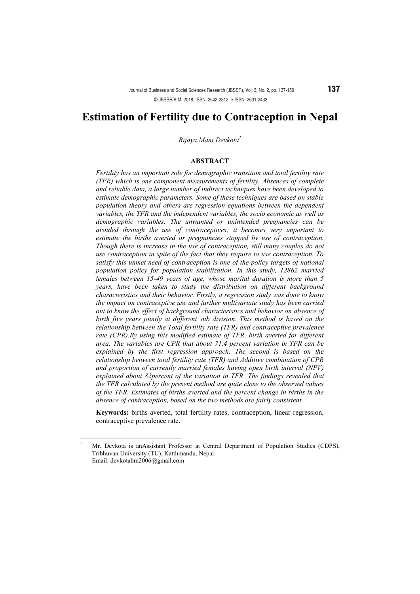*Bijaya Mani Devkota1*

#### **ABSTRACT**

*Fertility has an important role for demographic transition and total fertility rate (TFR) which is one component measurements of fertility. Absences of complete and reliable data, a large number of indirect techniques have been developed to estimate demographic parameters. Some of these techniques are based on stable population theory and others are regression equations between the dependent variables, the TFR and the independent variables, the socio economic as well as demographic variables. The unwanted or unintended pregnancies can be avoided through the use of contraceptives; it becomes very important to estimate the births averted or pregnancies stopped by use of contraception. Though there is increase in the use of contraception, still many couples do not use contraception in spite of the fact that they require to use contraception. To satisfy this unmet need of contraception is one of the policy targets of national population policy for population stabilization. In this study, 12862 married females between 15-49 years of age, whose marital duration is more than 5 years, have been taken to study the distribution on different background characteristics and their behavior. Firstly, a regression study was done to know the impact on contraceptive use and further multivariate study has been carried out to know the effect of background characteristics and behavior on absence of birth five years jointly at different sub division. This method is based on the relationship between the Total fertility rate (TFR) and contraceptive prevalence rate (CPR).By using this modified estimate of TFR, birth averted for different area. The variables are CPR that about 71.4 percent variation in TFR can be explained by the first regression approach. The second is based on the relationship between total fertility rate (TFR) and Additive combination of CPR and proportion of currently married females having open birth interval (NPV) explained about 82percent of the variation in TFR. The findings revealed that the TFR calculated by the present method are quite close to the observed values of the TFR. Estimates of births averted and the percent change in births in the absence of contraception, based on the two methods are fairly consistent.*

**Keywords:** births averted, total fertility rates, contraception, linear regression, contraceptive prevalence rate.

 <sup>1</sup> Mr. Devkota is anAssistant Professor at Central Department of Population Studies (CDPS), Tribhuvan University (TU), Katthmandu, Nepal. Email: devkotabm2006@gmail.com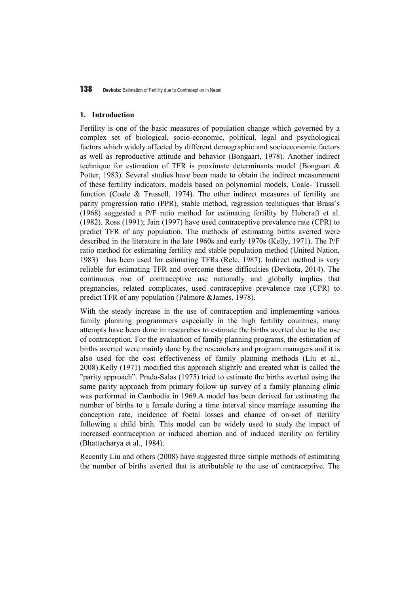#### **1. Introduction**

Fertility is one of the basic measures of population change which governed by a complex set of biological, socio-economic, political, legal and psychological factors which widely affected by different demographic and socioeconomic factors as well as reproductive attitude and behavior (Bongaart, 1978). Another indirect technique for estimation of TFR is proximate determinants model (Bongaart & Potter, 1983). Several studies have been made to obtain the indirect measurement of these fertility indicators, models based on polynomial models, Coale- Trussell function (Coale & Trussell, 1974). The other indirect measures of fertility are parity progression ratio (PPR), stable method, regression techniques that Brass's (1968) suggested a P/F ratio method for estimating fertility by Hobcraft et al. (1982). Ross (1991); Jain (1997) have used contraceptive prevalence rate (CPR) to predict TFR of any population. The methods of estimating births averted were described in the literature in the late 1960s and early 1970s (Kelly, 1971). The P/F ratio method for estimating fertility and stable population method (United Nation, 1983) has been used for estimating TFRs (Rele, 1987). Indirect method is very reliable for estimating TFR and overcome these difficulties (Devkota, 2014). The continuous rise of contraceptive use nationally and globally implies that pregnancies, related complicates, used contraceptive prevalence rate (CPR) to predict TFR of any population (Palmore &James, 1978).

With the steady increase in the use of contraception and implementing various family planning programmers especially in the high fertility countries, many attempts have been done in researches to estimate the births averted due to the use of contraception. For the evaluation of family planning programs, the estimation of births averted were mainly done by the researchers and program managers and it is also used for the cost effectiveness of family planning methods (Liu et al., 2008).Kelly (1971) modified this approach slightly and created what is called the "parity approach". Prada-Salas (1975) tried to estimate the births averted using the same parity approach from primary follow up survey of a family planning clinic was performed in Cambodia in 1969.A model has been derived for estimating the number of births to a female during a time interval since marriage assuming the conception rate, incidence of foetal losses and chance of on-set of sterility following a child birth. This model can be widely used to study the impact of increased contraception or induced abortion and of induced sterility on fertility (Bhattacharya et al., 1984).

Recently Liu and others (2008) have suggested three simple methods of estimating the number of births averted that is attributable to the use of contraceptive. The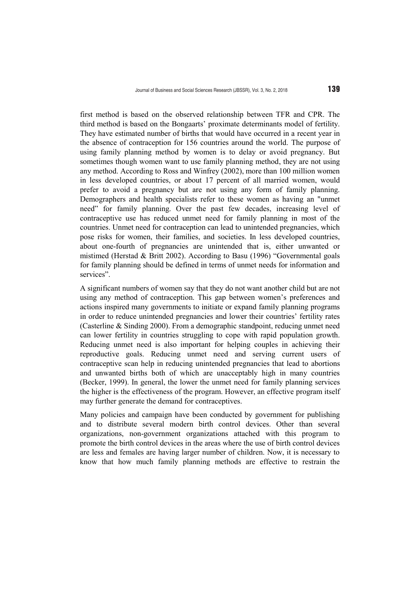first method is based on the observed relationship between TFR and CPR. The third method is based on the Bongaarts' proximate determinants model of fertility. They have estimated number of births that would have occurred in a recent year in the absence of contraception for 156 countries around the world. The purpose of using family planning method by women is to delay or avoid pregnancy. But sometimes though women want to use family planning method, they are not using any method. According to Ross and Winfrey (2002), more than 100 million women in less developed countries, or about 17 percent of all married women, would prefer to avoid a pregnancy but are not using any form of family planning. Demographers and health specialists refer to these women as having an "unmet need" for family planning. Over the past few decades, increasing level of contraceptive use has reduced unmet need for family planning in most of the countries. Unmet need for contraception can lead to unintended pregnancies, which pose risks for women, their families, and societies. In less developed countries, about one-fourth of pregnancies are unintended that is, either unwanted or mistimed (Herstad & Britt 2002). According to Basu (1996) "Governmental goals for family planning should be defined in terms of unmet needs for information and services".

A significant numbers of women say that they do not want another child but are not using any method of contraception. This gap between women's preferences and actions inspired many governments to initiate or expand family planning programs in order to reduce unintended pregnancies and lower their countries' fertility rates (Casterline & Sinding 2000). From a demographic standpoint, reducing unmet need can lower fertility in countries struggling to cope with rapid population growth. Reducing unmet need is also important for helping couples in achieving their reproductive goals. Reducing unmet need and serving current users of contraceptive scan help in reducing unintended pregnancies that lead to abortions and unwanted births both of which are unacceptably high in many countries (Becker, 1999). In general, the lower the unmet need for family planning services the higher is the effectiveness of the program. However, an effective program itself may further generate the demand for contraceptives.

Many policies and campaign have been conducted by government for publishing and to distribute several modern birth control devices. Other than several organizations, non-government organizations attached with this program to promote the birth control devices in the areas where the use of birth control devices are less and females are having larger number of children. Now, it is necessary to know that how much family planning methods are effective to restrain the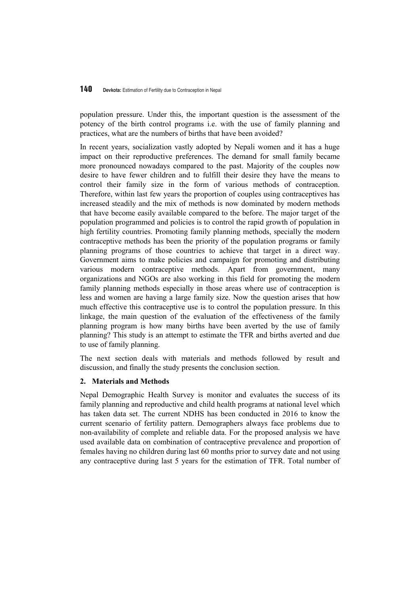population pressure. Under this, the important question is the assessment of the potency of the birth control programs i.e. with the use of family planning and practices, what are the numbers of births that have been avoided?

In recent years, socialization vastly adopted by Nepali women and it has a huge impact on their reproductive preferences. The demand for small family became more pronounced nowadays compared to the past. Majority of the couples now desire to have fewer children and to fulfill their desire they have the means to control their family size in the form of various methods of contraception. Therefore, within last few years the proportion of couples using contraceptives has increased steadily and the mix of methods is now dominated by modern methods that have become easily available compared to the before. The major target of the population programmed and policies is to control the rapid growth of population in high fertility countries. Promoting family planning methods, specially the modern contraceptive methods has been the priority of the population programs or family planning programs of those countries to achieve that target in a direct way. Government aims to make policies and campaign for promoting and distributing various modern contraceptive methods. Apart from government, many organizations and NGOs are also working in this field for promoting the modern family planning methods especially in those areas where use of contraception is less and women are having a large family size. Now the question arises that how much effective this contraceptive use is to control the population pressure. In this linkage, the main question of the evaluation of the effectiveness of the family planning program is how many births have been averted by the use of family planning? This study is an attempt to estimate the TFR and births averted and due to use of family planning.

The next section deals with materials and methods followed by result and discussion, and finally the study presents the conclusion section.

# **2. Materials and Methods**

Nepal Demographic Health Survey is monitor and evaluates the success of its family planning and reproductive and child health programs at national level which has taken data set. The current NDHS has been conducted in 2016 to know the current scenario of fertility pattern. Demographers always face problems due to non-availability of complete and reliable data. For the proposed analysis we have used available data on combination of contraceptive prevalence and proportion of females having no children during last 60 months prior to survey date and not using any contraceptive during last 5 years for the estimation of TFR. Total number of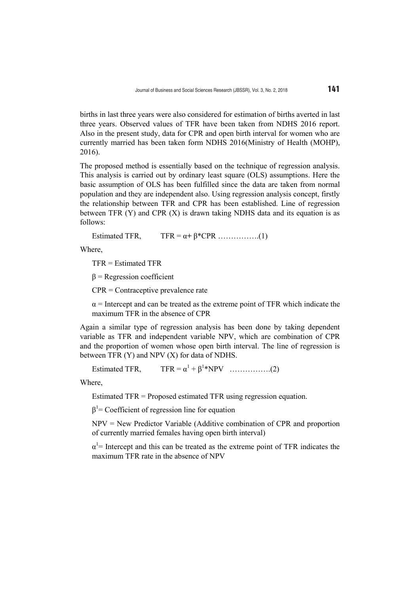births in last three years were also considered for estimation of births averted in last three years. Observed values of TFR have been taken from NDHS 2016 report. Also in the present study, data for CPR and open birth interval for women who are currently married has been taken form NDHS 2016(Ministry of Health (MOHP), 2016).

The proposed method is essentially based on the technique of regression analysis. This analysis is carried out by ordinary least square (OLS) assumptions. Here the basic assumption of OLS has been fulfilled since the data are taken from normal population and they are independent also. Using regression analysis concept, firstly the relationship between TFR and CPR has been established. Line of regression between TFR (Y) and CPR (X) is drawn taking NDHS data and its equation is as follows:

Estimated TFR,  $TFR = \alpha + \beta * CPR$  ……………..(1)

Where,

TFR = Estimated TFR

 $β$  = Regression coefficient

CPR = Contraceptive prevalence rate

 $\alpha$  = Intercept and can be treated as the extreme point of TFR which indicate the maximum TFR in the absence of CPR

Again a similar type of regression analysis has been done by taking dependent variable as TFR and independent variable NPV, which are combination of CPR and the proportion of women whose open birth interval. The line of regression is between TFR (Y) and NPV (X) for data of NDHS.

Estimated TFR.  $TFR = \alpha^{1} + \beta^{1*} NPV$  ……………..(2)

Where,

Estimated TFR = Proposed estimated TFR using regression equation.

 $\beta$ <sup>1</sup> = Coefficient of regression line for equation

NPV = New Predictor Variable (Additive combination of CPR and proportion of currently married females having open birth interval)

 $\alpha^1$ = Intercept and this can be treated as the extreme point of TFR indicates the maximum TFR rate in the absence of NPV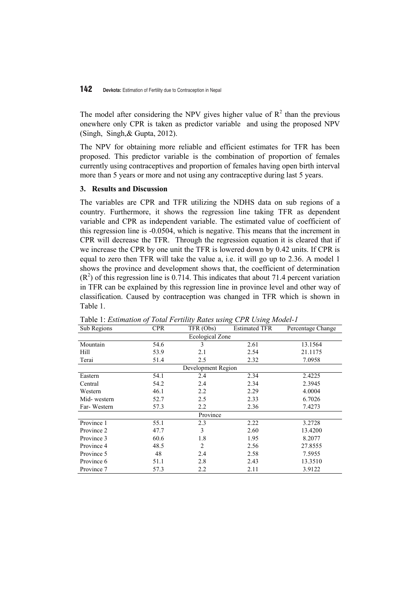The model after considering the NPV gives higher value of  $R^2$  than the previous onewhere only CPR is taken as predictor variable and using the proposed NPV (Singh, Singh,& Gupta, 2012).

The NPV for obtaining more reliable and efficient estimates for TFR has been proposed. This predictor variable is the combination of proportion of females currently using contraceptives and proportion of females having open birth interval more than 5 years or more and not using any contraceptive during last 5 years.

# **3. Results and Discussion**

The variables are CPR and TFR utilizing the NDHS data on sub regions of a country. Furthermore, it shows the regression line taking TFR as dependent variable and CPR as independent variable. The estimated value of coefficient of this regression line is -0.0504, which is negative. This means that the increment in CPR will decrease the TFR. Through the regression equation it is cleared that if we increase the CPR by one unit the TFR is lowered down by 0.42 units. If CPR is equal to zero then TFR will take the value a, i.e. it will go up to 2.36. A model 1 shows the province and development shows that, the coefficient of determination  $(R<sup>2</sup>)$  of this regression line is 0.714. This indicates that about 71.4 percent variation in TFR can be explained by this regression line in province level and other way of classification. Caused by contraception was changed in TFR which is shown in Table 1.

| Sub Regions            | <b>CPR</b> | TFR (Obs)          | <b>Estimated TFR</b><br>Percentage Change |         |  |  |  |  |  |
|------------------------|------------|--------------------|-------------------------------------------|---------|--|--|--|--|--|
| <b>Ecological Zone</b> |            |                    |                                           |         |  |  |  |  |  |
| Mountain               | 54.6       | 3                  | 2.61                                      | 13.1564 |  |  |  |  |  |
| Hill                   | 53.9       | 2.1                | 2.54                                      | 21.1175 |  |  |  |  |  |
| Terai                  | 51.4       | 2.5                | 2.32                                      | 7.0958  |  |  |  |  |  |
|                        |            | Development Region |                                           |         |  |  |  |  |  |
| Eastern                | 54.1       | 2.4                | 2.34                                      | 2.4225  |  |  |  |  |  |
| Central                | 54.2       | 2.4                | 2.34                                      | 2.3945  |  |  |  |  |  |
| Western                | 46.1       | 2.2                | 2.29                                      | 4.0004  |  |  |  |  |  |
| Mid-western            | 52.7       | 2.5                | 2.33                                      | 6.7026  |  |  |  |  |  |
| Far-Western            | 57.3       | 2.2                | 2.36                                      | 7.4273  |  |  |  |  |  |
| Province               |            |                    |                                           |         |  |  |  |  |  |
| Province 1             | 55.1       | 2.3                | 2.22                                      | 3.2728  |  |  |  |  |  |
| Province 2             | 47.7       | 3                  | 2.60                                      | 13.4200 |  |  |  |  |  |
| Province 3             | 60.6       | 1.8                | 1.95                                      | 8.2077  |  |  |  |  |  |
| Province 4             | 48.5       | 2                  | 2.56                                      | 27.8555 |  |  |  |  |  |
| Province 5             | 48         | 2.4                | 2.58                                      | 7.5955  |  |  |  |  |  |
| Province 6             | 51.1       | 2.8                | 2.43                                      | 13.3510 |  |  |  |  |  |
| Province 7             | 57.3       | 2.2                | 2.11                                      | 3.9122  |  |  |  |  |  |

Table 1: *Estimation of Total Fertility Rates using CPR Using Model-1*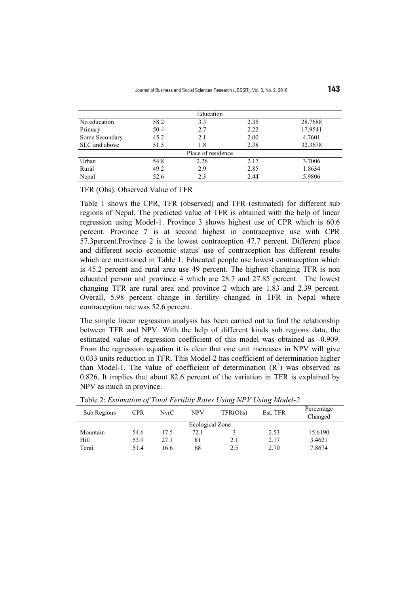| Education          |             |      |      |         |  |  |  |  |
|--------------------|-------------|------|------|---------|--|--|--|--|
| No education       | 58.2        | 3.3  | 2.35 | 28.7688 |  |  |  |  |
| Primary            | 50.4        | 2.7  | 2.22 | 17.9541 |  |  |  |  |
| Some Secondary     | 45.2<br>2.1 |      | 2.00 | 4.7601  |  |  |  |  |
| SLC and above      | 1.8<br>51.5 |      | 2.38 | 32.3678 |  |  |  |  |
| Place of residence |             |      |      |         |  |  |  |  |
| Urban              | 54.8        | 2.26 | 2.17 | 3.7006  |  |  |  |  |
| Rural              | 49.2        | 2.9  | 2.85 | 1.8634  |  |  |  |  |
| Nepal              | 52.6        | 2.3  | 2.44 | 5.9806  |  |  |  |  |

TFR (Obs): Observed Value of TFR

Table 1 shows the CPR, TFR (observed) and TFR (estimated) for different sub regions of Nepal. The predicted value of TFR is obtained with the help of linear regression using Model-1. Province 3 shows highest use of CPR which is 60.6 percent. Province 7 is at second highest in contraceptive use with CPR 57.3percent.Province 2 is the lowest contraception 47.7 percent. Different place and different socio economic status' use of contraception has different results which are mentioned in Table 1. Educated people use lowest contraception which is 45.2 percent and rural area use 49 percent. The highest changing TFR is non educated person and province 4 which are 28.7 and 27.85 percent. The lowest changing TFR are rural area and province 2 which are 1.83 and 2.39 percent. Overall, 5.98 percent change in fertility changed in TFR in Nepal where contraception rate was 52.6 percent.

The simple linear regression analysis has been carried out to find the relationship between TFR and NPV. With the help of different kinds sub regions data, the estimated value of regression coefficient of this model was obtained as -0.909. From the regression equation it is clear that one unit increases in NPV will give 0.033 units reduction in TFR. This Model-2 has coefficient of determination higher than Model-1. The value of coefficient of determination  $(R^2)$  was observed as 0.826. It implies that about 82.6 percent of the variation in TFR is explained by NPV as much in province.

|             |                 |      |            | ີ        |          |                       |  |  |  |
|-------------|-----------------|------|------------|----------|----------|-----------------------|--|--|--|
| Sub Regions | <b>CPR</b>      | NvrC | <b>NPV</b> | TFR(Obs) | Est. TFR | Percentage<br>Changed |  |  |  |
|             | Ecological Zone |      |            |          |          |                       |  |  |  |
|             |                 |      |            |          |          |                       |  |  |  |
| Mountain    | 54.6            | 17.5 | 72.1       |          | 2.53     | 15.6190               |  |  |  |
| Hill        | 53.9            | 27.1 | 81         | 2.1      | 2.17     | 3.4621                |  |  |  |
|             |                 |      |            |          |          |                       |  |  |  |
| Terai       | 51.4            | 16.6 | 68         | 2.5      | 2.70     | 7.8674                |  |  |  |
|             |                 |      |            |          |          |                       |  |  |  |

Table 2: *Estimation of Total Fertility Rates Using NPV Using Model-2*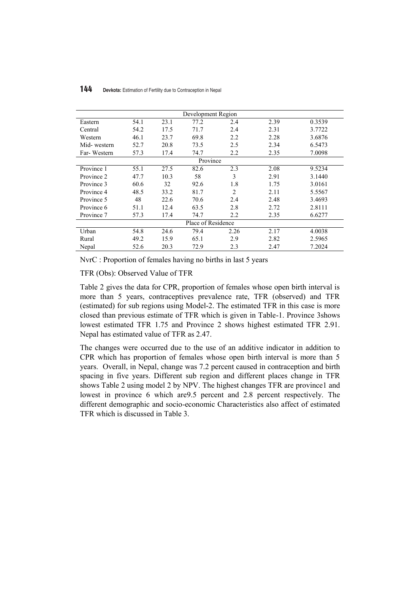| Development Region |      |      |          |                |      |        |  |  |
|--------------------|------|------|----------|----------------|------|--------|--|--|
| Eastern            | 54.1 | 23.1 | 77.2     | 2.4            | 2.39 | 0.3539 |  |  |
| Central            | 54.2 | 17.5 | 71.7     | 2.4            | 2.31 | 3.7722 |  |  |
| Western            | 46.1 | 23.7 | 69.8     | 2.2            | 2.28 | 3.6876 |  |  |
| Mid-western        | 52.7 | 20.8 | 73.5     | 2.5            | 2.34 | 6.5473 |  |  |
| Far-Western        | 57.3 | 17.4 | 74.7     | 2.2            | 2.35 | 7.0098 |  |  |
|                    |      |      | Province |                |      |        |  |  |
| Province 1         | 55.1 | 27.5 | 82.6     | 2.3            | 2.08 | 9.5234 |  |  |
| Province 2         | 47.7 | 10.3 | 58       | 3              | 2.91 | 3.1440 |  |  |
| Province 3         | 60.6 | 32   | 92.6     | 1.8            | 1.75 | 3.0161 |  |  |
| Province 4         | 48.5 | 33.2 | 81.7     | $\overline{2}$ | 2.11 | 5.5567 |  |  |
| Province 5         | 48   | 22.6 | 70.6     | 2.4            | 2.48 | 3.4693 |  |  |
| Province 6         | 51.1 | 12.4 | 63.5     | 2.8            | 2.72 | 2.8111 |  |  |
| Province 7         | 57.3 | 17.4 | 74.7     | 2.2            | 2.35 | 6.6277 |  |  |
| Place of Residence |      |      |          |                |      |        |  |  |
| Urban              | 54.8 | 24.6 | 79.4     | 2.26           | 2.17 | 4.0038 |  |  |
| Rural              | 49.2 | 15.9 | 65.1     | 2.9            | 2.82 | 2.5965 |  |  |
| Nepal              | 52.6 | 20.3 | 72.9     | 2.3            | 2.47 | 7.2024 |  |  |

NvrC : Proportion of females having no births in last 5 years

TFR (Obs): Observed Value of TFR

Table 2 gives the data for CPR, proportion of females whose open birth interval is more than 5 years, contraceptives prevalence rate, TFR (observed) and TFR (estimated) for sub regions using Model-2. The estimated TFR in this case is more closed than previous estimate of TFR which is given in Table-1. Province 3shows lowest estimated TFR 1.75 and Province 2 shows highest estimated TFR 2.91. Nepal has estimated value of TFR as 2.47.

The changes were occurred due to the use of an additive indicator in addition to CPR which has proportion of females whose open birth interval is more than 5 years. Overall, in Nepal, change was 7.2 percent caused in contraception and birth spacing in five years. Different sub region and different places change in TFR shows Table 2 using model 2 by NPV. The highest changes TFR are province1 and lowest in province 6 which are9.5 percent and 2.8 percent respectively. The different demographic and socio-economic Characteristics also affect of estimated TFR which is discussed in Table 3.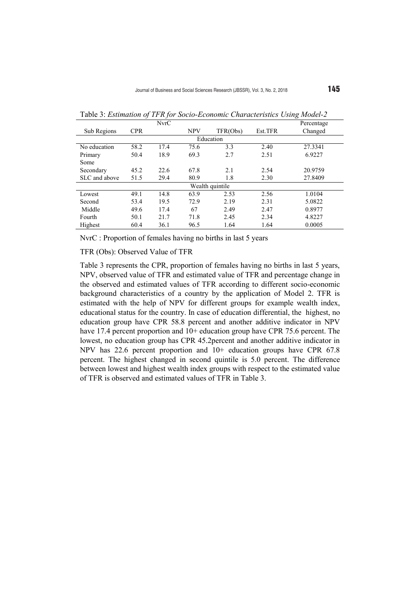|                 |            | <b>NvrC</b>            |      |         |         | Percentage |  |  |
|-----------------|------------|------------------------|------|---------|---------|------------|--|--|
| Sub Regions     | <b>CPR</b> | TFR(Obs)<br><b>NPV</b> |      | Est.TFR | Changed |            |  |  |
| Education       |            |                        |      |         |         |            |  |  |
| No education    | 58.2       | 17.4                   | 75.6 | 3.3     | 2.40    | 27.3341    |  |  |
| Primary         | 50.4       | 18.9                   | 69.3 | 2.7     | 2.51    | 6.9227     |  |  |
| Some            |            |                        |      |         |         |            |  |  |
| Secondary       | 45.2       | 22.6                   | 67.8 | 2.1     | 2.54    | 20.9759    |  |  |
| SLC and above   | 51.5       | 29.4                   | 80.9 | 1.8     | 2.30    | 27.8409    |  |  |
| Wealth quintile |            |                        |      |         |         |            |  |  |
| Lowest          | 49.1       | 14.8                   | 63.9 | 2.53    | 2.56    | 1.0104     |  |  |
| Second          | 53.4       | 19.5                   | 72.9 | 2.19    | 2.31    | 5.0822     |  |  |
| Middle          | 49.6       | 17.4                   | 67   | 2.49    | 2.47    | 0.8977     |  |  |
| Fourth          | 50.1       | 21.7                   | 71.8 | 2.45    | 2.34    | 4.8227     |  |  |
| Highest         | 60.4       | 36.1                   | 96.5 | 1.64    | 1.64    | 0.0005     |  |  |

Table 3: *Estimation of TFR for Socio-Economic Characteristics Using Model-2*

NvrC : Proportion of females having no births in last 5 years

TFR (Obs): Observed Value of TFR

Table 3 represents the CPR, proportion of females having no births in last 5 years, NPV, observed value of TFR and estimated value of TFR and percentage change in the observed and estimated values of TFR according to different socio-economic background characteristics of a country by the application of Model 2. TFR is estimated with the help of NPV for different groups for example wealth index, educational status for the country. In case of education differential, the highest, no education group have CPR 58.8 percent and another additive indicator in NPV have 17.4 percent proportion and 10+ education group have CPR 75.6 percent. The lowest, no education group has CPR 45.2percent and another additive indicator in NPV has 22.6 percent proportion and 10+ education groups have CPR 67.8 percent. The highest changed in second quintile is 5.0 percent. The difference between lowest and highest wealth index groups with respect to the estimated value of TFR is observed and estimated values of TFR in Table 3.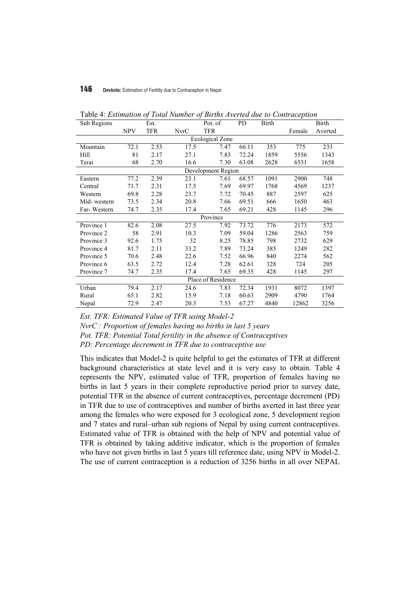| Sub Regions            |                    | Est.       |             | Pot. of    | PD    | <b>Birth</b> | <b>Birth</b> |         |  |  |
|------------------------|--------------------|------------|-------------|------------|-------|--------------|--------------|---------|--|--|
|                        | <b>NPV</b>         | <b>TFR</b> | <b>NvrC</b> | <b>TFR</b> |       |              | Female       | Averted |  |  |
| <b>Ecological Zone</b> |                    |            |             |            |       |              |              |         |  |  |
| Mountain               | 72.1               | 2.53       | 17.5        | 7.47       | 66.11 | 353          | 775          | 233     |  |  |
| Hill                   | 81                 | 2.17       | 27.1        | 7.83       | 72.24 | 1859         | 5556         | 1343    |  |  |
| Terai                  | 68                 | 2.70       | 16.6        | 7.30       | 63.08 | 2628         | 6531         | 1658    |  |  |
|                        | Development Region |            |             |            |       |              |              |         |  |  |
| Eastern                | 77.2               | 2.39       | 23.1        | 7.61       | 68.57 | 1091         | 2900         | 748     |  |  |
| Central                | 71.7               | 2.31       | 17.5        | 7.69       | 69.97 | 1768         | 4569         | 1237    |  |  |
| Western                | 69.8               | 2.28       | 23.7        | 7.72       | 70.45 | 887          | 2597         | 625     |  |  |
| Mid-western            | 73.5               | 2.34       | 20.8        | 7.66       | 69.51 | 666          | 1650         | 463     |  |  |
| Far-Western            | 74.7               | 2.35       | 17.4        | 7.65       | 69.21 | 428          | 1145         | 296     |  |  |
| Province               |                    |            |             |            |       |              |              |         |  |  |
| Province 1             | 82.6               | 2.08       | 27.5        | 7.92       | 73.72 | 776          | 2173         | 572     |  |  |
| Province 2             | 58                 | 2.91       | 10.3        | 7.09       | 59.04 | 1286         | 2563         | 759     |  |  |
| Province 3             | 92.6               | 1.75       | 32          | 8.25       | 78.85 | 798          | 2732         | 629     |  |  |
| Province 4             | 81.7               | 2.11       | 33.2        | 7.89       | 73.24 | 385          | 1249         | 282     |  |  |
| Province 5             | 70.6               | 2.48       | 22.6        | 7.52       | 66.96 | 840          | 2274         | 562     |  |  |
| Province 6             | 63.5               | 2.72       | 12.4        | 7.28       | 62.61 | 328          | 724          | 205     |  |  |
| Province 7             | 74.7               | 2.35       | 17.4        | 7.65       | 69.35 | 428          | 1145         | 297     |  |  |
| Place of Residence     |                    |            |             |            |       |              |              |         |  |  |
| Urban                  | 79.4               | 2.17       | 24.6        | 7.83       | 72.34 | 1931         | 8072         | 1397    |  |  |
| Rural                  | 65.1               | 2.82       | 15.9        | 7.18       | 60.63 | 2909         | 4790         | 1764    |  |  |
| Nepal                  | 72.9               | 2.47       | 20.3        | 7.53       | 67.27 | 4840         | 12862        | 3256    |  |  |

Table 4: *Estimation of Total Number of Births Averted due to Contraception*

*Est. TFR: Estimated Value of TFR using Model-2*

*NvrC : Proportion of females having no births in last 5 years* 

*Pot. TFR: Potential Total fertility in the absence of Contraceptives* 

*PD: Percentage decrement in TFR due to contraceptive use*

This indicates that Model-2 is quite helpful to get the estimates of TFR at different background characteristics at state level and it is very easy to obtain. Table 4 represents the NPV, estimated value of TFR, proportion of females having no births in last 5 years in their complete reproductive period prior to survey date, potential TFR in the absence of current contraceptives, percentage decrement (PD) in TFR due to use of contraceptives and number of births averted in last three year among the females who were exposed for 3 ecological zone, 5 development region and 7 states and rural–urban sub regions of Nepal by using current contraceptives. Estimated value of TFR is obtained with the help of NPV and potential value of TFR is obtained by taking additive indicator, which is the proportion of females who have not given births in last 5 years till reference date, using NPV in Model-2. The use of current contraception is a reduction of 3256 births in all over NEPAL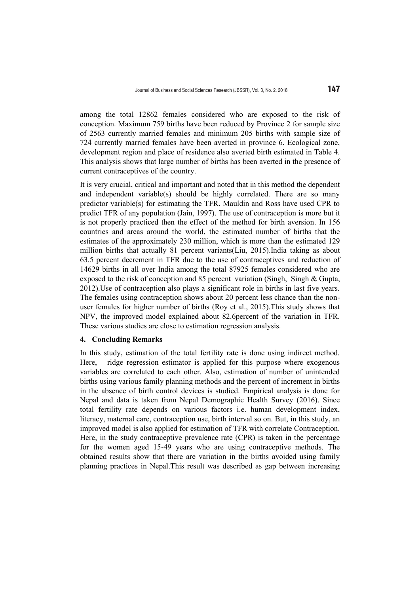among the total 12862 females considered who are exposed to the risk of conception. Maximum 759 births have been reduced by Province 2 for sample size of 2563 currently married females and minimum 205 births with sample size of 724 currently married females have been averted in province 6. Ecological zone, development region and place of residence also averted birth estimated in Table 4. This analysis shows that large number of births has been averted in the presence of current contraceptives of the country.

It is very crucial, critical and important and noted that in this method the dependent and independent variable(s) should be highly correlated. There are so many predictor variable(s) for estimating the TFR. Mauldin and Ross have used CPR to predict TFR of any population (Jain, 1997). The use of contraception is more but it is not properly practiced then the effect of the method for birth aversion. In 156 countries and areas around the world, the estimated number of births that the estimates of the approximately 230 million, which is more than the estimated 129 million births that actually 81 percent variants(Liu, 2015).India taking as about 63.5 percent decrement in TFR due to the use of contraceptives and reduction of 14629 births in all over India among the total 87925 females considered who are exposed to the risk of conception and 85 percent variation (Singh, Singh & Gupta, 2012).Use of contraception also plays a significant role in births in last five years. The females using contraception shows about 20 percent less chance than the nonuser females for higher number of births (Roy et al., 2015).This study shows that NPV, the improved model explained about 82.6percent of the variation in TFR. These various studies are close to estimation regression analysis.

# **4. Concluding Remarks**

In this study, estimation of the total fertility rate is done using indirect method. Here, ridge regression estimator is applied for this purpose where exogenous variables are correlated to each other. Also, estimation of number of unintended births using various family planning methods and the percent of increment in births in the absence of birth control devices is studied. Empirical analysis is done for Nepal and data is taken from Nepal Demographic Health Survey (2016). Since total fertility rate depends on various factors i.e. human development index, literacy, maternal care, contraception use, birth interval so on. But, in this study, an improved model is also applied for estimation of TFR with correlate Contraception. Here, in the study contraceptive prevalence rate (CPR) is taken in the percentage for the women aged 15-49 years who are using contraceptive methods. The obtained results show that there are variation in the births avoided using family planning practices in Nepal.This result was described as gap between increasing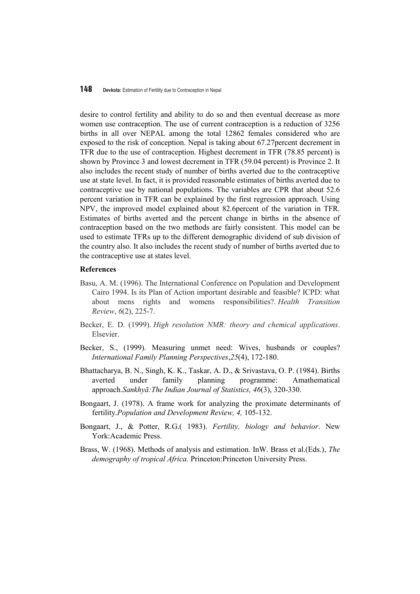desire to control fertility and ability to do so and then eventual decrease as more women use contraception. The use of current contraception is a reduction of 3256 births in all over NEPAL among the total 12862 females considered who are exposed to the risk of conception. Nepal is taking about 67.27percent decrement in TFR due to the use of contraception. Highest decrement in TFR (78.85 percent) is shown by Province 3 and lowest decrement in TFR (59.04 percent) is Province 2. It also includes the recent study of number of births averted due to the contraceptive use at state level. In fact, it is provided reasonable estimates of births averted due to contraceptive use by national populations. The variables are CPR that about 52.6 percent variation in TFR can be explained by the first regression approach. Using NPV, the improved model explained about 82.6percent of the variation in TFR. Estimates of births averted and the percent change in births in the absence of contraception based on the two methods are fairly consistent. This model can be used to estimate TFRs up to the different demographic dividend of sub division of the country also. It also includes the recent study of number of births averted due to the contraceptive use at states level.

#### **References**

- Basu, A. M. (1996). The International Conference on Population and Development Cairo 1994. Is its Plan of Action important desirable and feasible? ICPD: what about mens rights and womens responsibilities?. *Health Transition Review*, *6*(2), 225-7.
- Becker, E. D. (1999). *High resolution NMR: theory and chemical applications*. Elsevier.
- Becker, S., (1999). Measuring unmet need: Wives, husbands or couples? *International Family Planning Perspectives*,*25*(4), 172-180.
- Bhattacharya, B. N., Singh, K. K., Taskar, A. D., & Srivastava, O. P. (1984). Births averted under family planning programme: Amathematical approach.*Sankhyā:The Indian Journal of Statistics, 46*(3), 320-330.
- Bongaart, J. (1978). A frame work for analyzing the proximate determinants of fertility.*Population and Development Review, 4,* 105-132.
- Bongaart, J., & Potter, R.G.( 1983). *Fertility, biology and behavior*. New York:Academic Press.
- Brass, W. (1968). Methods of analysis and estimation*.* InW. Brass et al.(Eds.), *The demography of tropical Africa.* Princeton:Princeton University Press.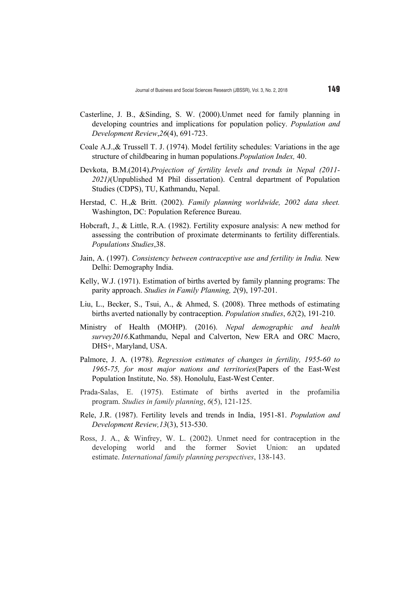- Casterline, J. B., &Sinding, S. W. (2000).Unmet need for family planning in developing countries and implications for population policy. *Population and Development Review*,*26*(4), 691-723.
- Coale A.J.,& Trussell T. J. (1974). Model fertility schedules: Variations in the age structure of childbearing in human populations*.Population Index,* 40.
- Devkota, B.M.(2014).*Projection of fertility levels and trends in Nepal (2011- 2021)*(Unpublished M Phil dissertation). Central department of Population Studies (CDPS), TU, Kathmandu, Nepal.
- Herstad, C. H.,& Britt. (2002). *Family planning worldwide, 2002 data sheet.* Washington, DC: Population Reference Bureau.
- Hobcraft, J., & Little, R.A. (1982). Fertility exposure analysis: A new method for assessing the contribution of proximate determinants to fertility differentials. *Populations Studies*,38.
- Jain, A. (1997). *Consistency between contraceptive use and fertility in India.* New Delhi: Demography India.
- Kelly, W.J. (1971). Estimation of births averted by family planning programs: The parity approach. *Studies in Family Planning, 2*(9), 197-201.
- Liu, L., Becker, S., Tsui, A., & Ahmed, S. (2008). Three methods of estimating births averted nationally by contraception. *Population studies*, *62*(2), 191-210.
- Ministry of Health (MOHP). (2016). *Nepal demographic and health survey2016*.Kathmandu, Nepal and Calverton, New ERA and ORC Macro, DHS+, Maryland, USA.
- Palmore, J. A. (1978). *Regression estimates of changes in fertility, 1955-60 to 1965-75, for most major nations and territories*(Papers of the East-West Population Institute, No. 58). Honolulu, East-West Center.
- Prada-Salas, E. (1975). Estimate of births averted in the profamilia program. *Studies in family planning*, *6*(5), 121-125.
- Rele, J.R. (1987). Fertility levels and trends in India, 1951-81. *Population and Development Review,13*(3), 513-530.
- Ross, J. A., & Winfrey, W. L. (2002). Unmet need for contraception in the developing world and the former Soviet Union: an updated estimate. *International family planning perspectives*, 138-143.